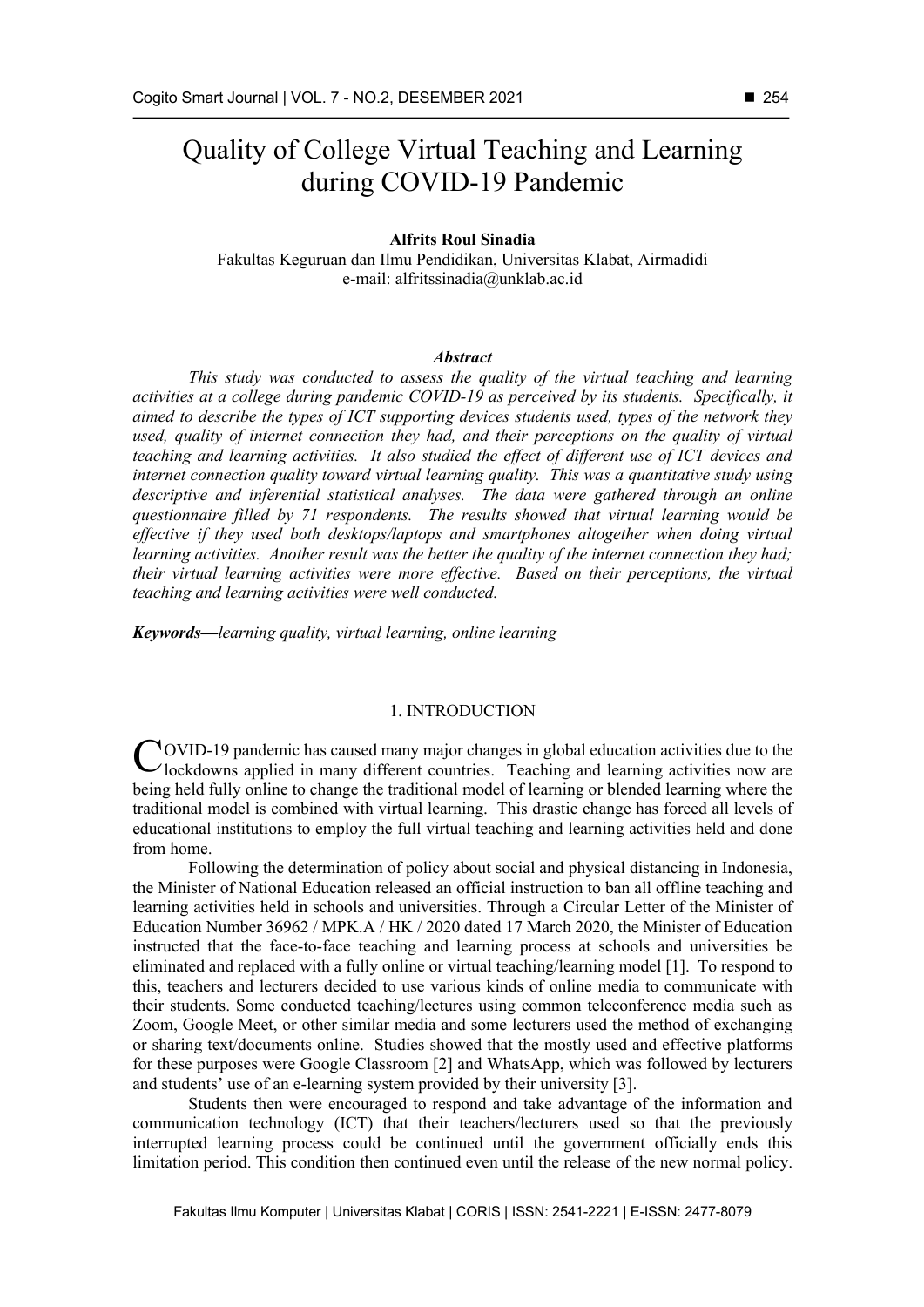# Quality of College Virtual Teaching and Learning during COVID-19 Pandemic

## **Alfrits Roul Sinadia**

Fakultas Keguruan dan Ilmu Pendidikan, Universitas Klabat, Airmadidi e-mail: alfritssinadia@unklab.ac.id

## *Abstract*

*This study was conducted to assess the quality of the virtual teaching and learning activities at a college during pandemic COVID-19 as perceived by its students. Specifically, it aimed to describe the types of ICT supporting devices students used, types of the network they used, quality of internet connection they had, and their perceptions on the quality of virtual teaching and learning activities. It also studied the effect of different use of ICT devices and internet connection quality toward virtual learning quality. This was a quantitative study using descriptive and inferential statistical analyses. The data were gathered through an online questionnaire filled by 71 respondents. The results showed that virtual learning would be effective if they used both desktops/laptops and smartphones altogether when doing virtual learning activities. Another result was the better the quality of the internet connection they had; their virtual learning activities were more effective. Based on their perceptions, the virtual teaching and learning activities were well conducted.* 

*Keywords—learning quality, virtual learning, online learning* 

#### 1. INTRODUCTION

OVID-19 pandemic has caused many major changes in global education activities due to the COVID-19 pandemic has caused many major changes in global education activities due to the lockdowns applied in many different countries. Teaching and learning activities now are being held fully online to change the traditional model of learning or blended learning where the traditional model is combined with virtual learning. This drastic change has forced all levels of educational institutions to employ the full virtual teaching and learning activities held and done from home.

Following the determination of policy about social and physical distancing in Indonesia, the Minister of National Education released an official instruction to ban all offline teaching and learning activities held in schools and universities. Through a Circular Letter of the Minister of Education Number 36962 / MPK.A / HK / 2020 dated 17 March 2020, the Minister of Education instructed that the face-to-face teaching and learning process at schools and universities be eliminated and replaced with a fully online or virtual teaching/learning model [1]. To respond to this, teachers and lecturers decided to use various kinds of online media to communicate with their students. Some conducted teaching/lectures using common teleconference media such as Zoom, Google Meet, or other similar media and some lecturers used the method of exchanging or sharing text/documents online. Studies showed that the mostly used and effective platforms for these purposes were Google Classroom [2] and WhatsApp, which was followed by lecturers and students' use of an e-learning system provided by their university [3].

Students then were encouraged to respond and take advantage of the information and communication technology (ICT) that their teachers/lecturers used so that the previously interrupted learning process could be continued until the government officially ends this limitation period. This condition then continued even until the release of the new normal policy.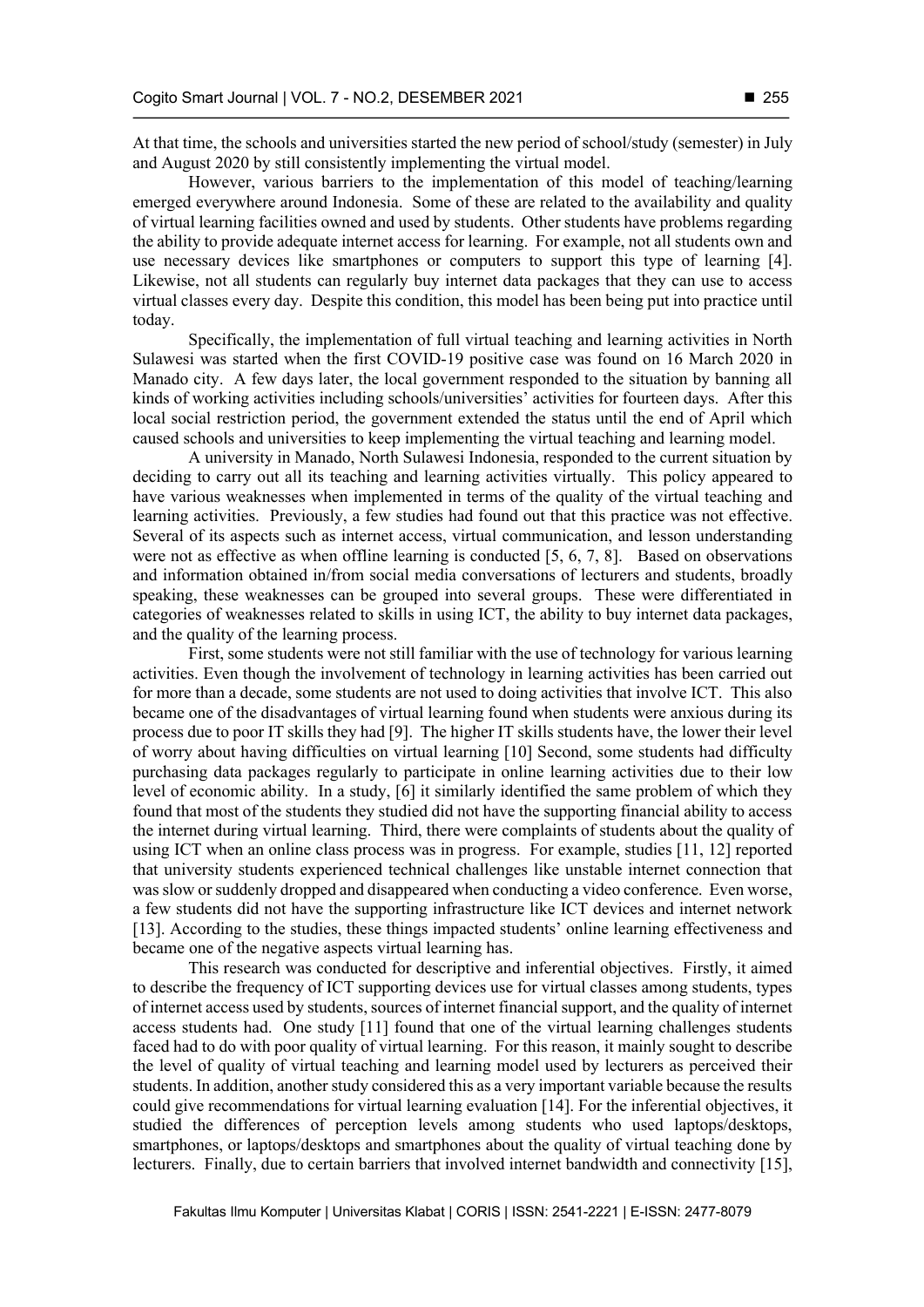At that time, the schools and universities started the new period of school/study (semester) in July and August 2020 by still consistently implementing the virtual model.

However, various barriers to the implementation of this model of teaching/learning emerged everywhere around Indonesia. Some of these are related to the availability and quality of virtual learning facilities owned and used by students. Other students have problems regarding the ability to provide adequate internet access for learning. For example, not all students own and use necessary devices like smartphones or computers to support this type of learning [4]. Likewise, not all students can regularly buy internet data packages that they can use to access virtual classes every day. Despite this condition, this model has been being put into practice until today.

Specifically, the implementation of full virtual teaching and learning activities in North Sulawesi was started when the first COVID-19 positive case was found on 16 March 2020 in Manado city. A few days later, the local government responded to the situation by banning all kinds of working activities including schools/universities' activities for fourteen days. After this local social restriction period, the government extended the status until the end of April which caused schools and universities to keep implementing the virtual teaching and learning model.

A university in Manado, North Sulawesi Indonesia, responded to the current situation by deciding to carry out all its teaching and learning activities virtually. This policy appeared to have various weaknesses when implemented in terms of the quality of the virtual teaching and learning activities. Previously, a few studies had found out that this practice was not effective. Several of its aspects such as internet access, virtual communication, and lesson understanding were not as effective as when offline learning is conducted [5, 6, 7, 8]. Based on observations and information obtained in/from social media conversations of lecturers and students, broadly speaking, these weaknesses can be grouped into several groups. These were differentiated in categories of weaknesses related to skills in using ICT, the ability to buy internet data packages, and the quality of the learning process.

First, some students were not still familiar with the use of technology for various learning activities. Even though the involvement of technology in learning activities has been carried out for more than a decade, some students are not used to doing activities that involve ICT. This also became one of the disadvantages of virtual learning found when students were anxious during its process due to poor IT skills they had [9]. The higher IT skills students have, the lower their level of worry about having difficulties on virtual learning [10] Second, some students had difficulty purchasing data packages regularly to participate in online learning activities due to their low level of economic ability. In a study, [6] it similarly identified the same problem of which they found that most of the students they studied did not have the supporting financial ability to access the internet during virtual learning. Third, there were complaints of students about the quality of using ICT when an online class process was in progress. For example, studies [11, 12] reported that university students experienced technical challenges like unstable internet connection that was slow or suddenly dropped and disappeared when conducting a video conference. Even worse, a few students did not have the supporting infrastructure like ICT devices and internet network [13]. According to the studies, these things impacted students' online learning effectiveness and became one of the negative aspects virtual learning has.

This research was conducted for descriptive and inferential objectives. Firstly, it aimed to describe the frequency of ICT supporting devices use for virtual classes among students, types of internet access used by students, sources of internet financial support, and the quality of internet access students had. One study [11] found that one of the virtual learning challenges students faced had to do with poor quality of virtual learning. For this reason, it mainly sought to describe the level of quality of virtual teaching and learning model used by lecturers as perceived their students. In addition, another study considered this as a very important variable because the results could give recommendations for virtual learning evaluation [14]. For the inferential objectives, it studied the differences of perception levels among students who used laptops/desktops, smartphones, or laptops/desktops and smartphones about the quality of virtual teaching done by lecturers. Finally, due to certain barriers that involved internet bandwidth and connectivity [15],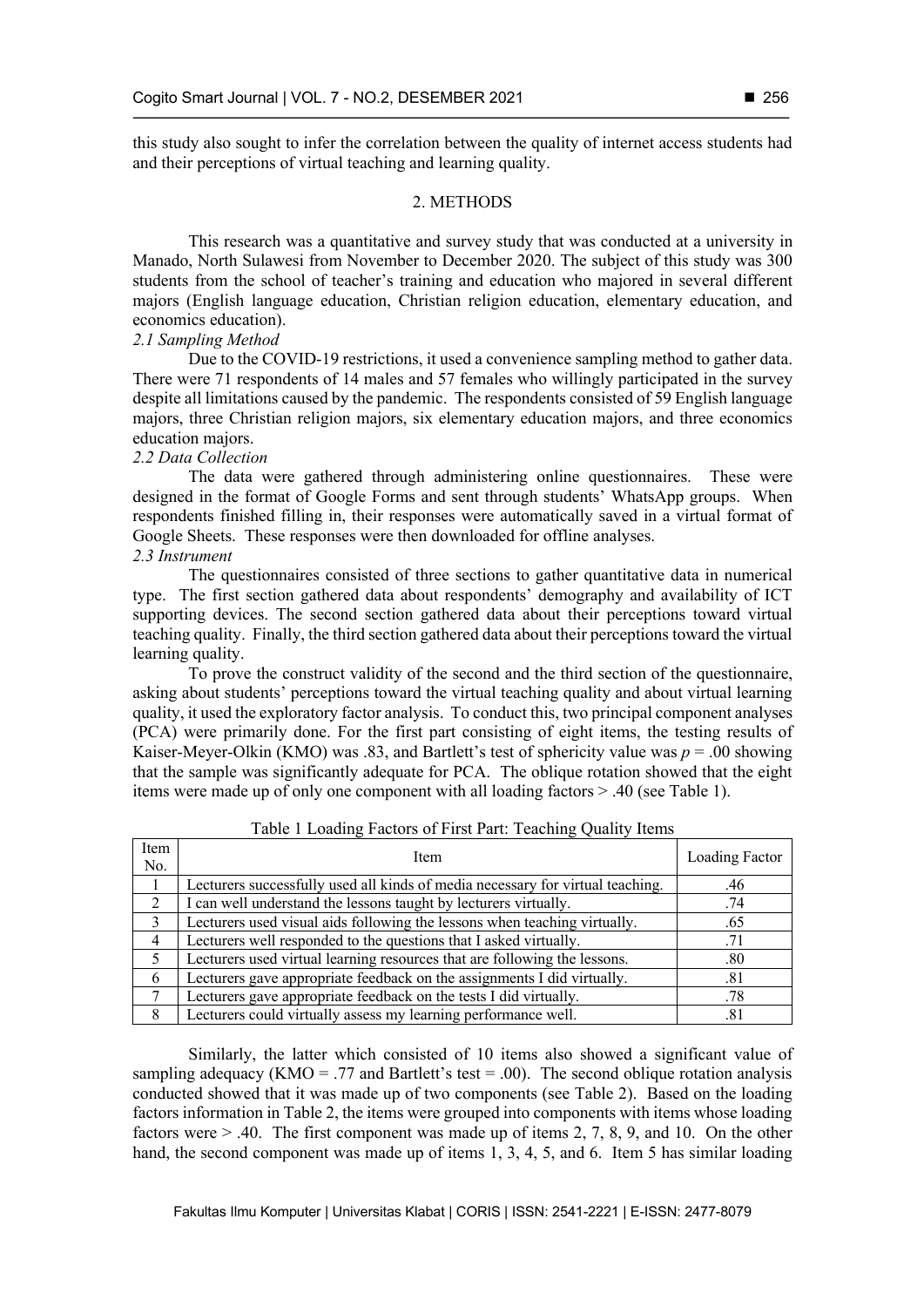this study also sought to infer the correlation between the quality of internet access students had and their perceptions of virtual teaching and learning quality.

## 2. METHODS

This research was a quantitative and survey study that was conducted at a university in Manado, North Sulawesi from November to December 2020. The subject of this study was 300 students from the school of teacher's training and education who majored in several different majors (English language education, Christian religion education, elementary education, and economics education).

#### *2.1 Sampling Method*

Due to the COVID-19 restrictions, it used a convenience sampling method to gather data. There were 71 respondents of 14 males and 57 females who willingly participated in the survey despite all limitations caused by the pandemic. The respondents consisted of 59 English language majors, three Christian religion majors, six elementary education majors, and three economics education majors.

## *2.2 Data Collection*

The data were gathered through administering online questionnaires. These were designed in the format of Google Forms and sent through students' WhatsApp groups. When respondents finished filling in, their responses were automatically saved in a virtual format of Google Sheets. These responses were then downloaded for offline analyses.

# *2.3 Instrument*

The questionnaires consisted of three sections to gather quantitative data in numerical type. The first section gathered data about respondents' demography and availability of ICT supporting devices. The second section gathered data about their perceptions toward virtual teaching quality. Finally, the third section gathered data about their perceptions toward the virtual learning quality.

To prove the construct validity of the second and the third section of the questionnaire, asking about students' perceptions toward the virtual teaching quality and about virtual learning quality, it used the exploratory factor analysis. To conduct this, two principal component analyses (PCA) were primarily done. For the first part consisting of eight items, the testing results of Kaiser-Meyer-Olkin (KMO) was .83, and Bartlett's test of sphericity value was  $p = .00$  showing that the sample was significantly adequate for PCA. The oblique rotation showed that the eight items were made up of only one component with all loading factors > .40 (see Table 1).

| Item<br>No.    | Item                                                                           | Loading Factor |
|----------------|--------------------------------------------------------------------------------|----------------|
|                | Lecturers successfully used all kinds of media necessary for virtual teaching. | .46            |
| $\mathfrak{D}$ | I can well understand the lessons taught by lecturers virtually.               | .74            |
| 3              | Lecturers used visual aids following the lessons when teaching virtually.      | .65            |
| 4              | Lecturers well responded to the questions that I asked virtually.              | .71            |
|                | Lecturers used virtual learning resources that are following the lessons.      | .80            |
| 6              | Lecturers gave appropriate feedback on the assignments I did virtually.        | .81            |
|                | Lecturers gave appropriate feedback on the tests I did virtually.              | .78            |
| 8              | Lecturers could virtually assess my learning performance well.                 | .81            |

# Table 1 Loading Factors of First Part: Teaching Quality Items

Similarly, the latter which consisted of 10 items also showed a significant value of sampling adequacy (KMO = .77 and Bartlett's test = .00). The second oblique rotation analysis conducted showed that it was made up of two components (see Table 2). Based on the loading factors information in Table 2, the items were grouped into components with items whose loading factors were > .40. The first component was made up of items 2, 7, 8, 9, and 10. On the other hand, the second component was made up of items 1, 3, 4, 5, and 6. Item 5 has similar loading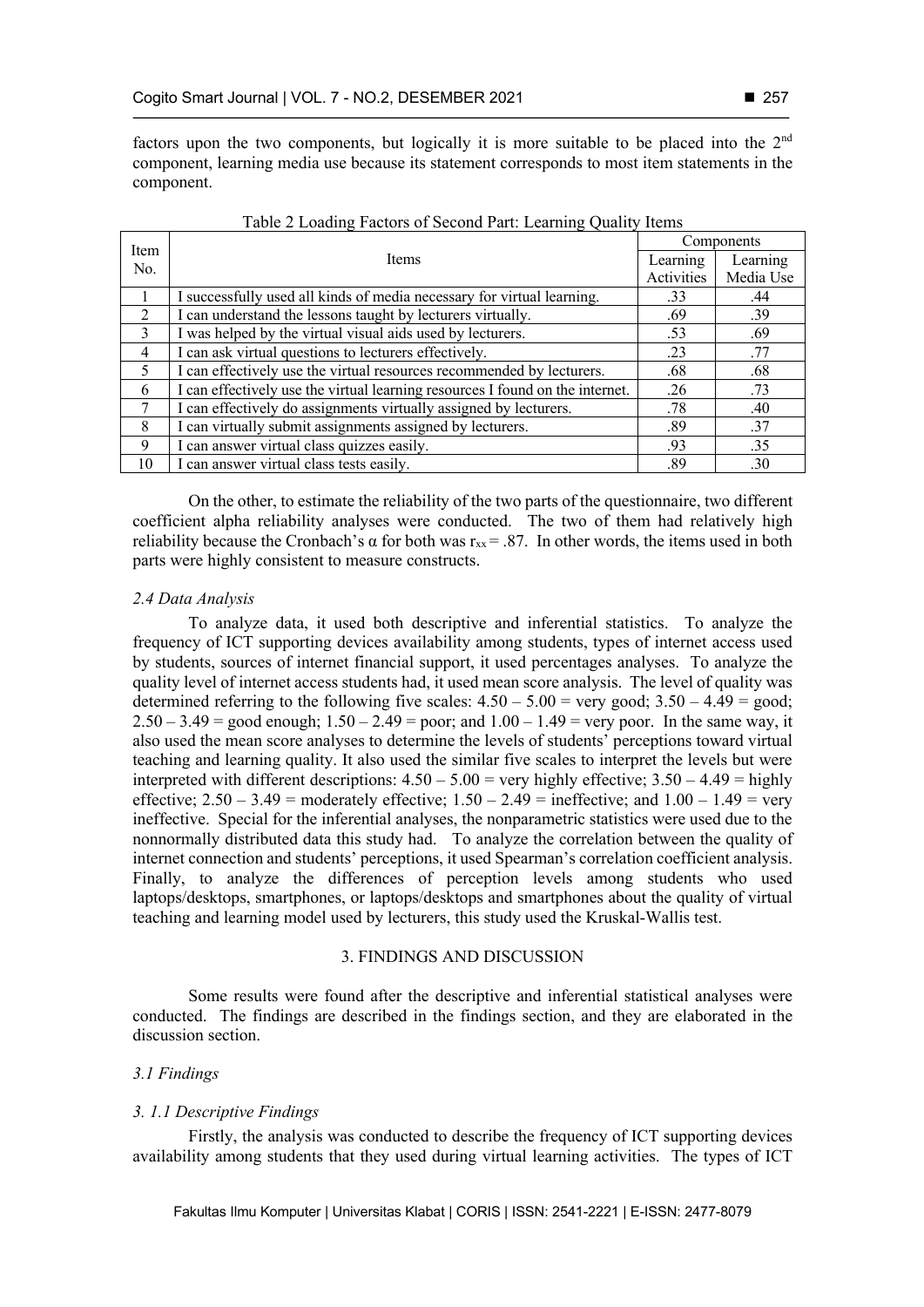factors upon the two components, but logically it is more suitable to be placed into the 2<sup>nd</sup> component, learning media use because its statement corresponds to most item statements in the component.

| Item          |                                                                               |          | Components |
|---------------|-------------------------------------------------------------------------------|----------|------------|
| No.           | <b>Items</b>                                                                  | Learning | Learning   |
|               | Activities                                                                    |          | Media Use  |
|               | I successfully used all kinds of media necessary for virtual learning.        | .33      | .44        |
| $\mathcal{D}$ | I can understand the lessons taught by lecturers virtually.                   | .69      | .39        |
| 3             | I was helped by the virtual visual aids used by lecturers.                    | .53      | .69        |
| 4             | I can ask virtual questions to lecturers effectively.                         | .23      | .77        |
| 5             | I can effectively use the virtual resources recommended by lecturers.         | .68      | .68        |
| 6             | I can effectively use the virtual learning resources I found on the internet. | .26      | .73        |
| 7             | I can effectively do assignments virtually assigned by lecturers.             | .78      | .40        |
| 8             | I can virtually submit assignments assigned by lecturers.                     | .89      | .37        |
| 9             | I can answer virtual class quizzes easily.                                    | .93      | .35        |
| 10            | I can answer virtual class tests easily.                                      | .89      | .30        |

| Table 2 Loading Factors of Second Part: Learning Quality Items |  |  |  |  |
|----------------------------------------------------------------|--|--|--|--|
|                                                                |  |  |  |  |

On the other, to estimate the reliability of the two parts of the questionnaire, two different coefficient alpha reliability analyses were conducted. The two of them had relatively high reliability because the Cronbach's  $\alpha$  for both was  $r_{xx} = .87$ . In other words, the items used in both parts were highly consistent to measure constructs.

## *2.4 Data Analysis*

To analyze data, it used both descriptive and inferential statistics. To analyze the frequency of ICT supporting devices availability among students, types of internet access used by students, sources of internet financial support, it used percentages analyses. To analyze the quality level of internet access students had, it used mean score analysis. The level of quality was determined referring to the following five scales:  $4.50 - 5.00 =$  very good;  $3.50 - 4.49 =$  good;  $2.50 - 3.49 =$  good enough;  $1.50 - 2.49 =$  poor; and  $1.00 - 1.49 =$  very poor. In the same way, it also used the mean score analyses to determine the levels of students' perceptions toward virtual teaching and learning quality. It also used the similar five scales to interpret the levels but were interpreted with different descriptions:  $4.50 - 5.00 =$  very highly effective;  $3.50 - 4.49 =$  highly effective;  $2.50 - 3.49$  = moderately effective;  $1.50 - 2.49$  = ineffective; and  $1.00 - 1.49$  = very ineffective. Special for the inferential analyses, the nonparametric statistics were used due to the nonnormally distributed data this study had. To analyze the correlation between the quality of internet connection and students' perceptions, it used Spearman's correlation coefficient analysis. Finally, to analyze the differences of perception levels among students who used laptops/desktops, smartphones, or laptops/desktops and smartphones about the quality of virtual teaching and learning model used by lecturers, this study used the Kruskal-Wallis test.

## 3. FINDINGS AND DISCUSSION

Some results were found after the descriptive and inferential statistical analyses were conducted. The findings are described in the findings section, and they are elaborated in the discussion section.

# *3.1 Findings*

# *3. 1.1 Descriptive Findings*

Firstly, the analysis was conducted to describe the frequency of ICT supporting devices availability among students that they used during virtual learning activities. The types of ICT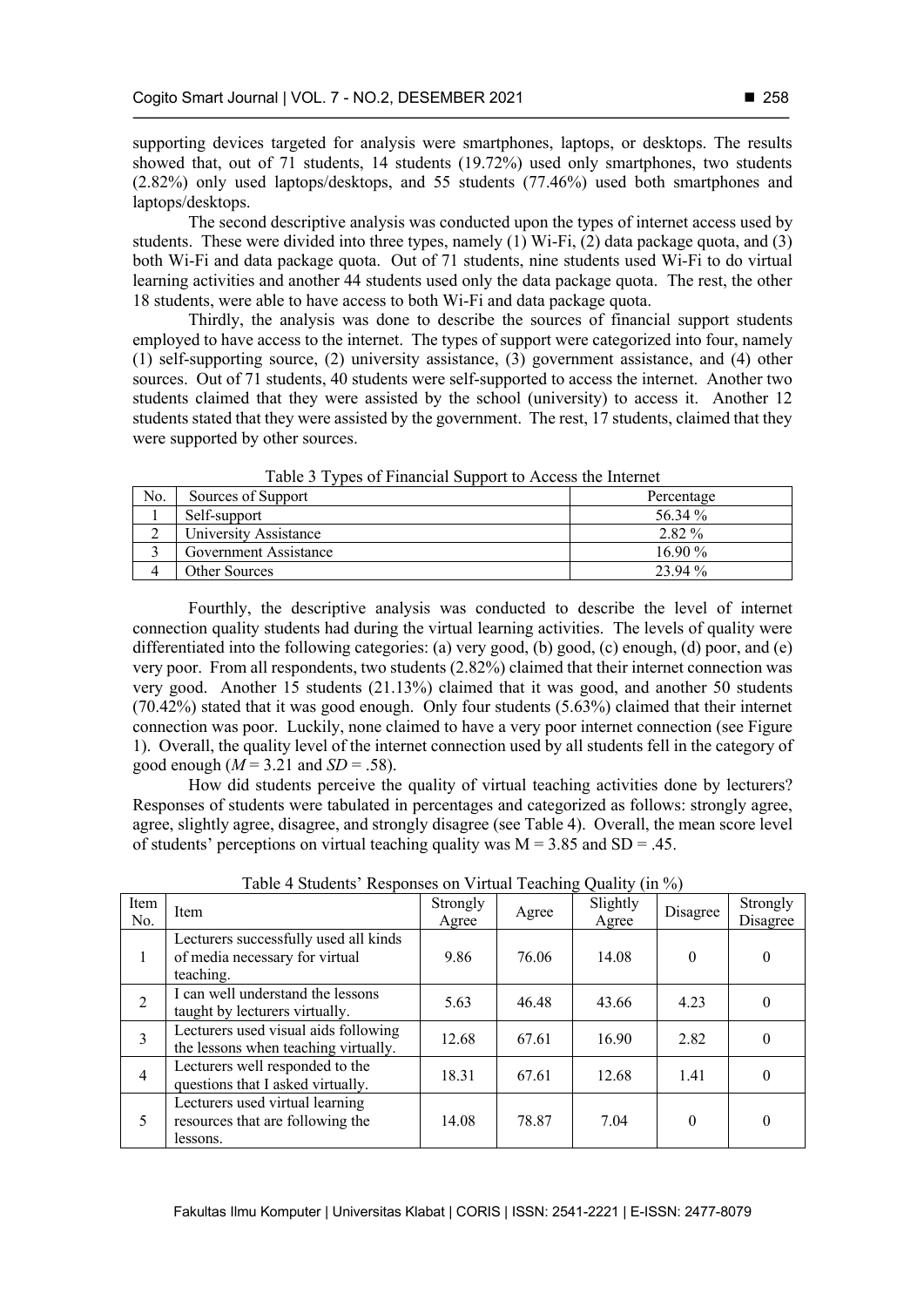supporting devices targeted for analysis were smartphones, laptops, or desktops. The results showed that, out of 71 students, 14 students (19.72%) used only smartphones, two students (2.82%) only used laptops/desktops, and 55 students (77.46%) used both smartphones and laptops/desktops.

The second descriptive analysis was conducted upon the types of internet access used by students. These were divided into three types, namely  $(1)$  Wi-Fi,  $(2)$  data package quota, and  $(3)$ both Wi-Fi and data package quota. Out of 71 students, nine students used Wi-Fi to do virtual learning activities and another 44 students used only the data package quota. The rest, the other 18 students, were able to have access to both Wi-Fi and data package quota.

Thirdly, the analysis was done to describe the sources of financial support students employed to have access to the internet. The types of support were categorized into four, namely (1) self-supporting source, (2) university assistance, (3) government assistance, and (4) other sources. Out of 71 students, 40 students were self-supported to access the internet. Another two students claimed that they were assisted by the school (university) to access it. Another 12 students stated that they were assisted by the government. The rest, 17 students, claimed that they were supported by other sources.

| No. | Sources of Support    | Percentage |
|-----|-----------------------|------------|
|     | Self-support          | 56.34 %    |
|     | University Assistance | 2.82 %     |
|     | Government Assistance | $16.90\%$  |
|     | Other Sources         | 23.94 %    |

Table 3 Types of Financial Support to Access the Internet

Fourthly, the descriptive analysis was conducted to describe the level of internet connection quality students had during the virtual learning activities. The levels of quality were differentiated into the following categories: (a) very good, (b) good, (c) enough, (d) poor, and (e) very poor. From all respondents, two students (2.82%) claimed that their internet connection was very good. Another 15 students (21.13%) claimed that it was good, and another 50 students  $(70.42\%)$  stated that it was good enough. Only four students  $(5.63\%)$  claimed that their internet connection was poor. Luckily, none claimed to have a very poor internet connection (see Figure 1). Overall, the quality level of the internet connection used by all students fell in the category of good enough  $(M = 3.21$  and  $SD = .58$ ).

How did students perceive the quality of virtual teaching activities done by lecturers? Responses of students were tabulated in percentages and categorized as follows: strongly agree, agree, slightly agree, disagree, and strongly disagree (see Table 4). Overall, the mean score level of students' perceptions on virtual teaching quality was  $M = 3.85$  and SD = .45.

| Item<br>No. | Item                                                                                 | Strongly<br>Agree | Agree | Slightly<br>Agree | Disagree | Strongly<br>Disagree |
|-------------|--------------------------------------------------------------------------------------|-------------------|-------|-------------------|----------|----------------------|
| 1           | Lecturers successfully used all kinds<br>of media necessary for virtual<br>teaching. | 9.86              | 76.06 | 14.08             | $\Omega$ | 0                    |
| 2           | I can well understand the lessons<br>taught by lecturers virtually.                  | 5.63              | 46.48 | 43.66             | 4.23     | 0                    |
| 3           | Lecturers used visual aids following<br>the lessons when teaching virtually.         | 12.68             | 67.61 | 16.90             | 2.82     | 0                    |
| 4           | Lecturers well responded to the<br>questions that I asked virtually.                 | 18.31             | 67.61 | 12.68             | 1.41     | 0                    |
| 5           | Lecturers used virtual learning<br>resources that are following the<br>lessons.      | 14.08             | 78.87 | 7.04              | $\theta$ | 0                    |

Table 4 Students' Responses on Virtual Teaching Quality (in %)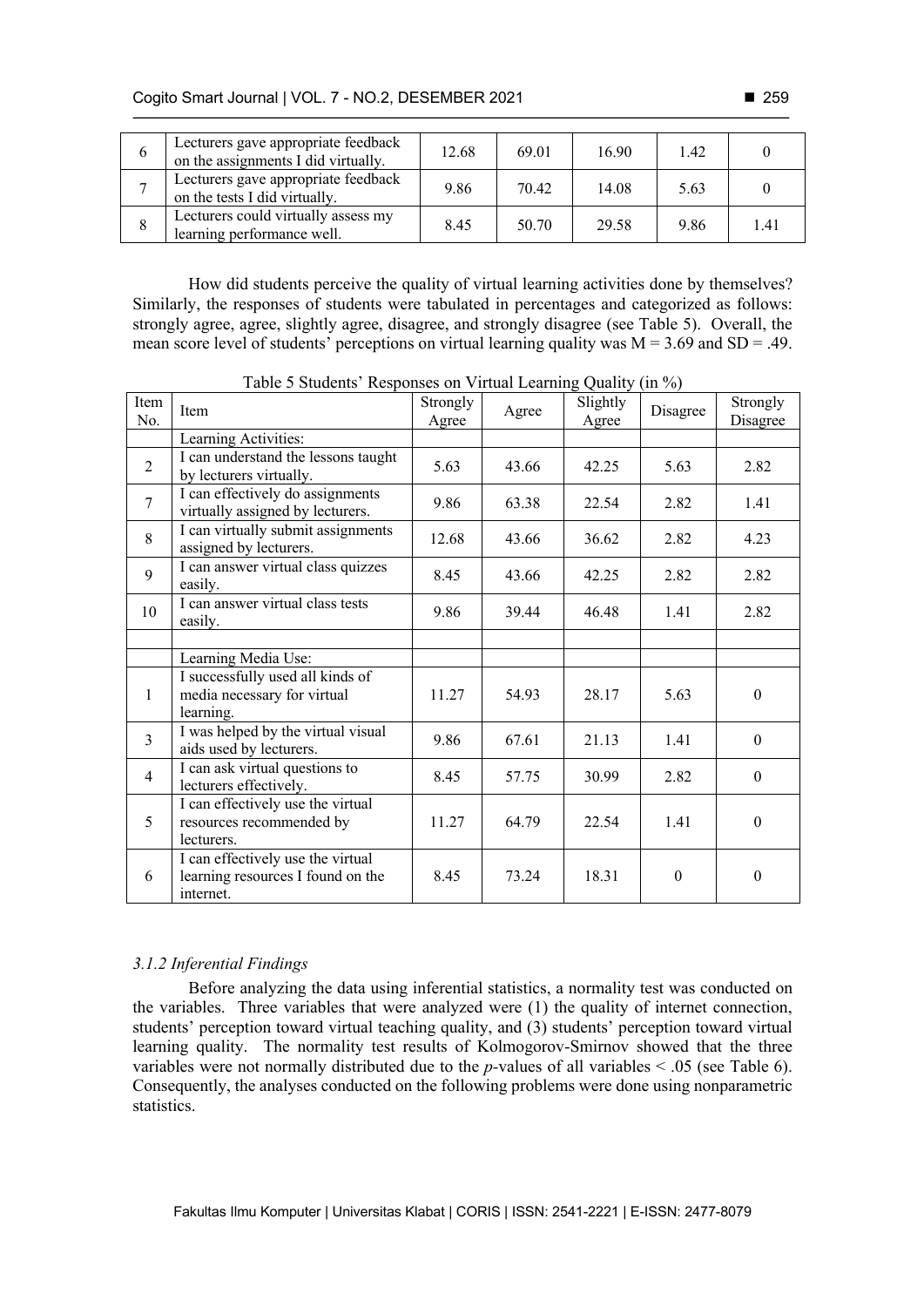| $\sigma$ | Lecturers gave appropriate feedback<br>on the assignments I did virtually. | 12.68 | 69.01 | 16.90 | 1.42 |      |
|----------|----------------------------------------------------------------------------|-------|-------|-------|------|------|
|          | Lecturers gave appropriate feedback<br>on the tests I did virtually.       | 9.86  | 70.42 | 14.08 | 5.63 |      |
| 8        | Lecturers could virtually assess my<br>learning performance well.          | 8.45  | 50.70 | 29.58 | 9.86 | 1.41 |

How did students perceive the quality of virtual learning activities done by themselves? Similarly, the responses of students were tabulated in percentages and categorized as follows: strongly agree, agree, slightly agree, disagree, and strongly disagree (see Table 5). Overall, the mean score level of students' perceptions on virtual learning quality was  $M = 3.69$  and SD = .49.

| Item<br>No.    | Item                                                                                | Strongly<br>Agree | Agree | Slightly<br>Agree | Disagree | Strongly<br>Disagree |
|----------------|-------------------------------------------------------------------------------------|-------------------|-------|-------------------|----------|----------------------|
|                | Learning Activities:                                                                |                   |       |                   |          |                      |
| $\overline{2}$ | I can understand the lessons taught<br>by lecturers virtually.                      | 5.63              | 43.66 | 42.25             | 5.63     | 2.82                 |
| $\overline{7}$ | I can effectively do assignments<br>virtually assigned by lecturers.                | 9.86              | 63.38 | 22.54             | 2.82     | 1.41                 |
| 8              | I can virtually submit assignments<br>assigned by lecturers.                        | 12.68             | 43.66 | 36.62             | 2.82     | 4.23                 |
| 9              | I can answer virtual class quizzes<br>easily.                                       | 8.45              | 43.66 | 42.25             | 2.82     | 2.82                 |
| 10             | I can answer virtual class tests<br>easily.                                         | 9.86              | 39.44 | 46.48             | 1.41     | 2.82                 |
|                |                                                                                     |                   |       |                   |          |                      |
|                | Learning Media Use:                                                                 |                   |       |                   |          |                      |
| $\mathbf{1}$   | I successfully used all kinds of<br>media necessary for virtual<br>learning.        | 11.27             | 54.93 | 28.17             | 5.63     | $\theta$             |
| $\overline{3}$ | I was helped by the virtual visual<br>aids used by lecturers.                       | 9.86              | 67.61 | 21.13             | 1.41     | $\mathbf{0}$         |
| $\overline{4}$ | I can ask virtual questions to<br>lecturers effectively.                            | 8.45              | 57.75 | 30.99             | 2.82     | $\mathbf{0}$         |
| 5              | I can effectively use the virtual<br>resources recommended by<br>lecturers.         | 11.27             | 64.79 | 22.54             | 1.41     | $\theta$             |
| 6              | I can effectively use the virtual<br>learning resources I found on the<br>internet. | 8.45              | 73.24 | 18.31             | $\Omega$ | $\theta$             |

Table 5 Students' Responses on Virtual Learning Quality (in %)

# *3.1.2 Inferential Findings*

Before analyzing the data using inferential statistics, a normality test was conducted on the variables. Three variables that were analyzed were (1) the quality of internet connection, students' perception toward virtual teaching quality, and (3) students' perception toward virtual learning quality. The normality test results of Kolmogorov-Smirnov showed that the three variables were not normally distributed due to the *p-*values of all variables < .05 (see Table 6). Consequently, the analyses conducted on the following problems were done using nonparametric statistics.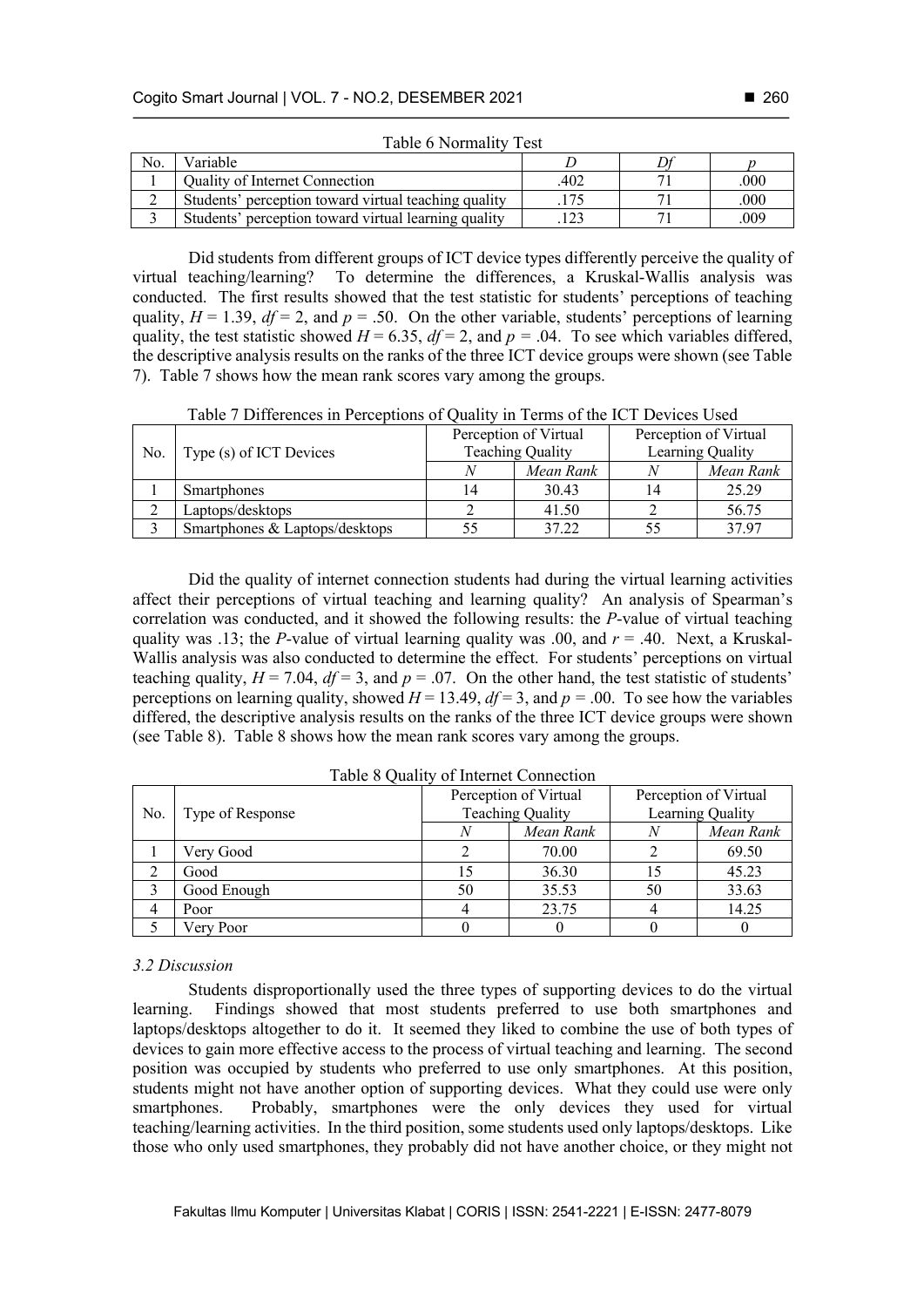| No. | Variable                                             |     |      |
|-----|------------------------------------------------------|-----|------|
|     | <b>Ouality of Internet Connection</b>                | 402 | .000 |
|     | Students' perception toward virtual teaching quality |     | .000 |
|     | Students' perception toward virtual learning quality |     | .009 |

Table 6 Normality Test

Did students from different groups of ICT device types differently perceive the quality of virtual teaching/learning? To determine the differences, a Kruskal-Wallis analysis was conducted. The first results showed that the test statistic for students' perceptions of teaching quality,  $H = 1.39$ ,  $df = 2$ , and  $p = .50$ . On the other variable, students' perceptions of learning quality, the test statistic showed  $H = 6.35$ ,  $df = 2$ , and  $p = .04$ . To see which variables differed, the descriptive analysis results on the ranks of the three ICT device groups were shown (see Table 7). Table 7 shows how the mean rank scores vary among the groups.

Table 7 Differences in Perceptions of Quality in Terms of the ICT Devices Used

|     |                                |    | Perception of Virtual   | Perception of Virtual |           |  |
|-----|--------------------------------|----|-------------------------|-----------------------|-----------|--|
| No. | Type (s) of ICT Devices        |    | <b>Teaching Quality</b> | Learning Quality      |           |  |
|     |                                |    | Mean Rank               |                       | Mean Rank |  |
|     | <b>Smartphones</b>             | 14 | 30.43                   | 14                    | 25.29     |  |
|     | Laptops/desktops               |    | 41.50                   |                       | 56.75     |  |
|     | Smartphones & Laptops/desktops | 55 | 37.22                   |                       | 37.97     |  |

Did the quality of internet connection students had during the virtual learning activities affect their perceptions of virtual teaching and learning quality? An analysis of Spearman's correlation was conducted, and it showed the following results: the *P*-value of virtual teaching quality was .13; the *P*-value of virtual learning quality was .00, and  $r = .40$ . Next, a Kruskal-Wallis analysis was also conducted to determine the effect. For students' perceptions on virtual teaching quality,  $H = 7.04$ ,  $df = 3$ , and  $p = .07$ . On the other hand, the test statistic of students' perceptions on learning quality, showed  $H = 13.49$ ,  $df = 3$ , and  $p = .00$ . To see how the variables differed, the descriptive analysis results on the ranks of the three ICT device groups were shown (see Table 8). Table 8 shows how the mean rank scores vary among the groups.

| No. | Type of Response |    | Perception of Virtual<br>Teaching Quality | Perception of Virtual<br>Learning Quality |           |  |
|-----|------------------|----|-------------------------------------------|-------------------------------------------|-----------|--|
|     |                  |    | Mean Rank                                 |                                           | Mean Rank |  |
|     | Very Good        |    | 70.00                                     |                                           | 69.50     |  |
|     | Good             |    | 36.30                                     |                                           | 45.23     |  |
|     | Good Enough      | 50 | 35.53                                     | 50                                        | 33.63     |  |
| 4   | Poor             |    | 23.75                                     |                                           | 14.25     |  |
|     | Very Poor        |    |                                           |                                           |           |  |

Table 8 Quality of Internet Connection

#### *3.2 Discussion*

Students disproportionally used the three types of supporting devices to do the virtual learning. Findings showed that most students preferred to use both smartphones and laptops/desktops altogether to do it. It seemed they liked to combine the use of both types of devices to gain more effective access to the process of virtual teaching and learning. The second position was occupied by students who preferred to use only smartphones. At this position, students might not have another option of supporting devices. What they could use were only smartphones. Probably, smartphones were the only devices they used for virtual teaching/learning activities. In the third position, some students used only laptops/desktops. Like those who only used smartphones, they probably did not have another choice, or they might not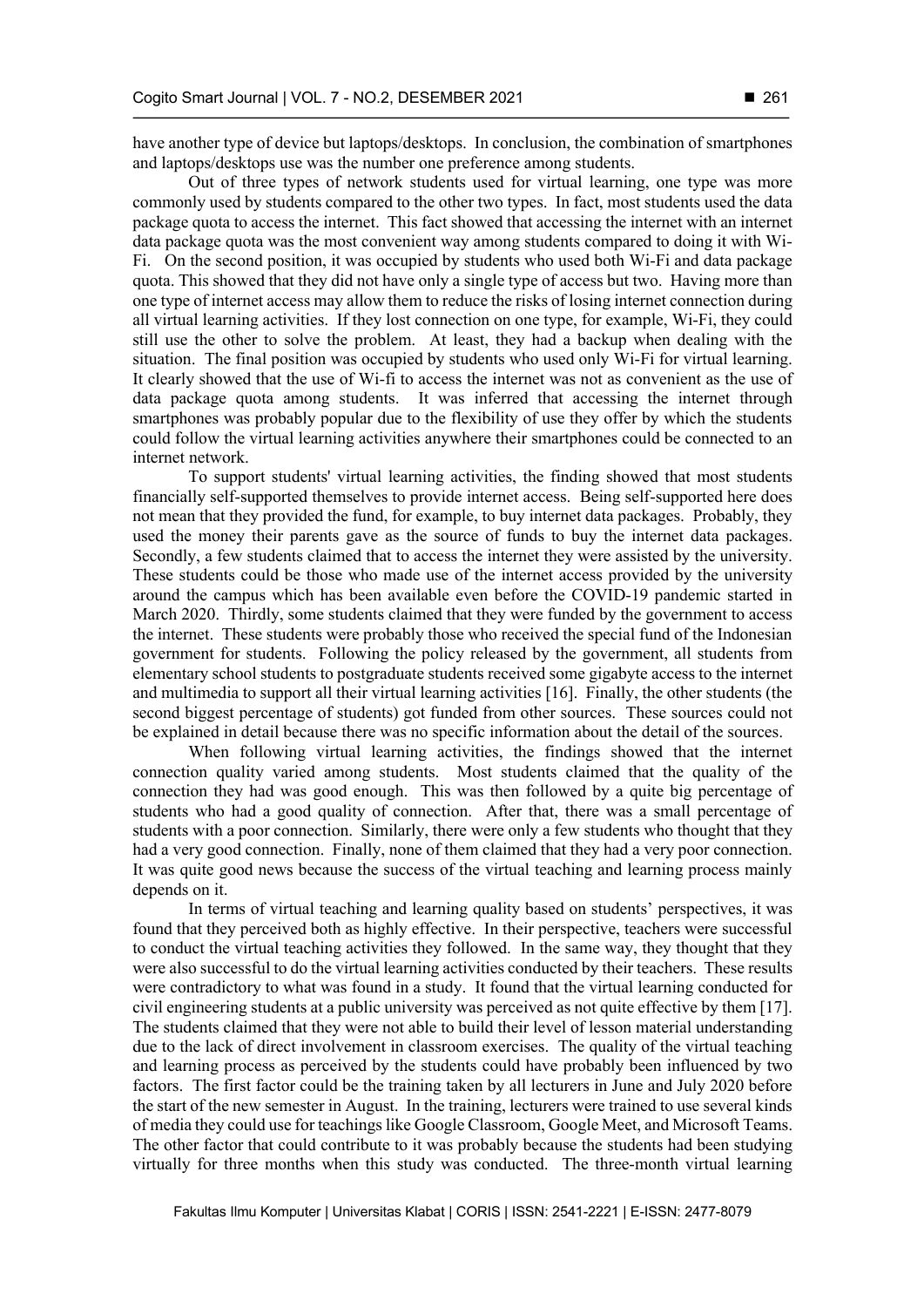have another type of device but laptops/desktops. In conclusion, the combination of smartphones and laptops/desktops use was the number one preference among students.

Out of three types of network students used for virtual learning, one type was more commonly used by students compared to the other two types. In fact, most students used the data package quota to access the internet. This fact showed that accessing the internet with an internet data package quota was the most convenient way among students compared to doing it with Wi-Fi. On the second position, it was occupied by students who used both Wi-Fi and data package quota. This showed that they did not have only a single type of access but two. Having more than one type of internet access may allow them to reduce the risks of losing internet connection during all virtual learning activities. If they lost connection on one type, for example, Wi-Fi, they could still use the other to solve the problem. At least, they had a backup when dealing with the situation. The final position was occupied by students who used only Wi-Fi for virtual learning. It clearly showed that the use of Wi-fi to access the internet was not as convenient as the use of data package quota among students. It was inferred that accessing the internet through smartphones was probably popular due to the flexibility of use they offer by which the students could follow the virtual learning activities anywhere their smartphones could be connected to an internet network.

To support students' virtual learning activities, the finding showed that most students financially self-supported themselves to provide internet access. Being self-supported here does not mean that they provided the fund, for example, to buy internet data packages. Probably, they used the money their parents gave as the source of funds to buy the internet data packages. Secondly, a few students claimed that to access the internet they were assisted by the university. These students could be those who made use of the internet access provided by the university around the campus which has been available even before the COVID-19 pandemic started in March 2020. Thirdly, some students claimed that they were funded by the government to access the internet. These students were probably those who received the special fund of the Indonesian government for students. Following the policy released by the government, all students from elementary school students to postgraduate students received some gigabyte access to the internet and multimedia to support all their virtual learning activities [16]. Finally, the other students (the second biggest percentage of students) got funded from other sources. These sources could not be explained in detail because there was no specific information about the detail of the sources.

When following virtual learning activities, the findings showed that the internet connection quality varied among students. Most students claimed that the quality of the connection they had was good enough. This was then followed by a quite big percentage of students who had a good quality of connection. After that, there was a small percentage of students with a poor connection. Similarly, there were only a few students who thought that they had a very good connection. Finally, none of them claimed that they had a very poor connection. It was quite good news because the success of the virtual teaching and learning process mainly depends on it.

In terms of virtual teaching and learning quality based on students' perspectives, it was found that they perceived both as highly effective. In their perspective, teachers were successful to conduct the virtual teaching activities they followed. In the same way, they thought that they were also successful to do the virtual learning activities conducted by their teachers. These results were contradictory to what was found in a study. It found that the virtual learning conducted for civil engineering students at a public university was perceived as not quite effective by them [17]. The students claimed that they were not able to build their level of lesson material understanding due to the lack of direct involvement in classroom exercises. The quality of the virtual teaching and learning process as perceived by the students could have probably been influenced by two factors. The first factor could be the training taken by all lecturers in June and July 2020 before the start of the new semester in August. In the training, lecturers were trained to use several kinds of media they could use for teachings like Google Classroom, Google Meet, and Microsoft Teams. The other factor that could contribute to it was probably because the students had been studying virtually for three months when this study was conducted. The three-month virtual learning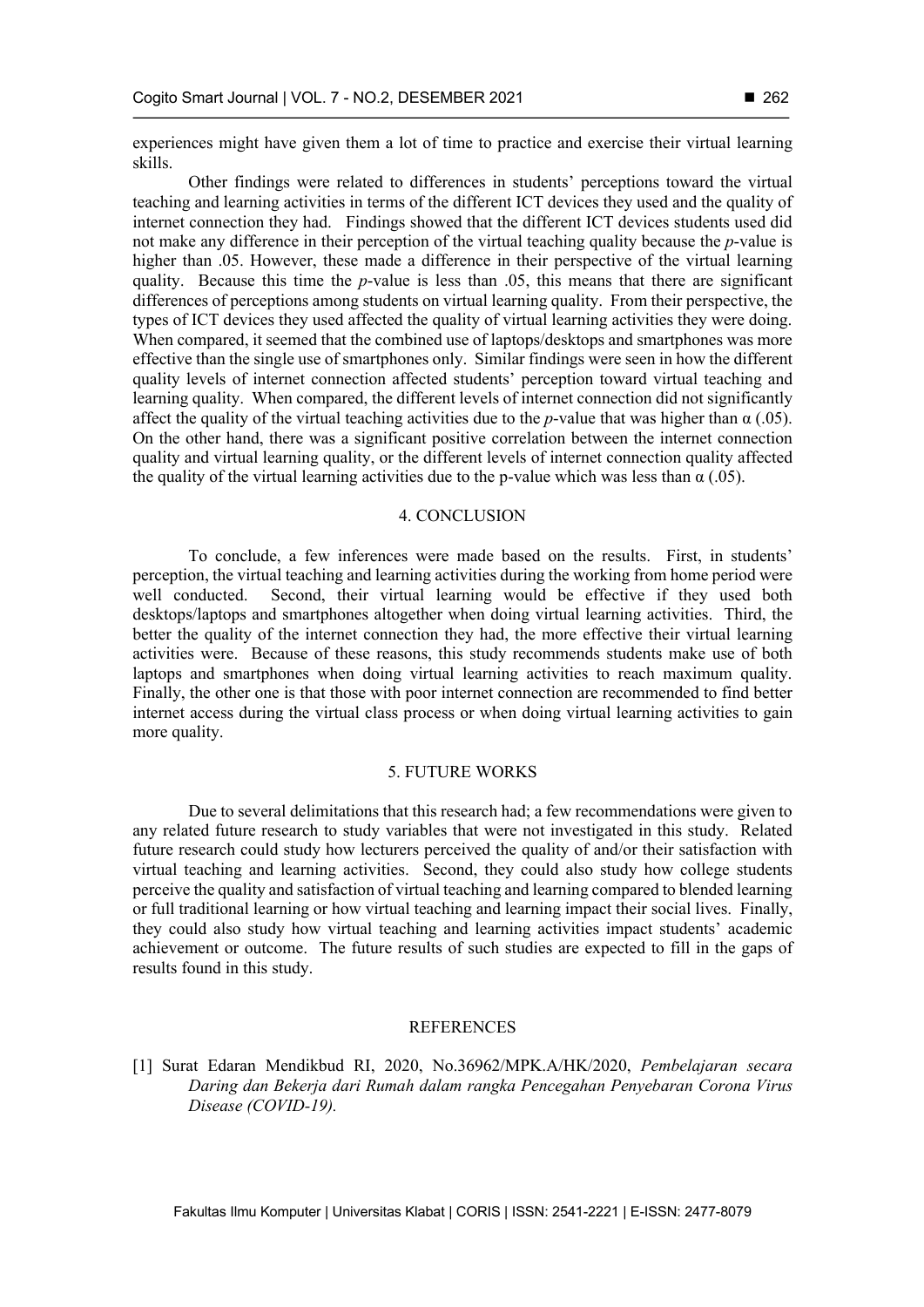experiences might have given them a lot of time to practice and exercise their virtual learning skills.

Other findings were related to differences in students' perceptions toward the virtual teaching and learning activities in terms of the different ICT devices they used and the quality of internet connection they had. Findings showed that the different ICT devices students used did not make any difference in their perception of the virtual teaching quality because the *p*-value is higher than .05. However, these made a difference in their perspective of the virtual learning quality. Because this time the *p*-value is less than .05, this means that there are significant differences of perceptions among students on virtual learning quality. From their perspective, the types of ICT devices they used affected the quality of virtual learning activities they were doing. When compared, it seemed that the combined use of laptops/desktops and smartphones was more effective than the single use of smartphones only. Similar findings were seen in how the different quality levels of internet connection affected students' perception toward virtual teaching and learning quality. When compared, the different levels of internet connection did not significantly affect the quality of the virtual teaching activities due to the *p*-value that was higher than  $\alpha$  (.05). On the other hand, there was a significant positive correlation between the internet connection quality and virtual learning quality, or the different levels of internet connection quality affected the quality of the virtual learning activities due to the p-value which was less than  $\alpha$  (.05).

## 4. CONCLUSION

To conclude, a few inferences were made based on the results. First, in students' perception, the virtual teaching and learning activities during the working from home period were well conducted. Second, their virtual learning would be effective if they used both desktops/laptops and smartphones altogether when doing virtual learning activities. Third, the better the quality of the internet connection they had, the more effective their virtual learning activities were. Because of these reasons, this study recommends students make use of both laptops and smartphones when doing virtual learning activities to reach maximum quality. Finally, the other one is that those with poor internet connection are recommended to find better internet access during the virtual class process or when doing virtual learning activities to gain more quality.

## 5. FUTURE WORKS

Due to several delimitations that this research had; a few recommendations were given to any related future research to study variables that were not investigated in this study. Related future research could study how lecturers perceived the quality of and/or their satisfaction with virtual teaching and learning activities. Second, they could also study how college students perceive the quality and satisfaction of virtual teaching and learning compared to blended learning or full traditional learning or how virtual teaching and learning impact their social lives. Finally, they could also study how virtual teaching and learning activities impact students' academic achievement or outcome. The future results of such studies are expected to fill in the gaps of results found in this study.

## REFERENCES

[1] Surat Edaran Mendikbud RI, 2020, No.36962/MPK.A/HK/2020, *Pembelajaran secara Daring dan Bekerja dari Rumah dalam rangka Pencegahan Penyebaran Corona Virus Disease (COVID-19).*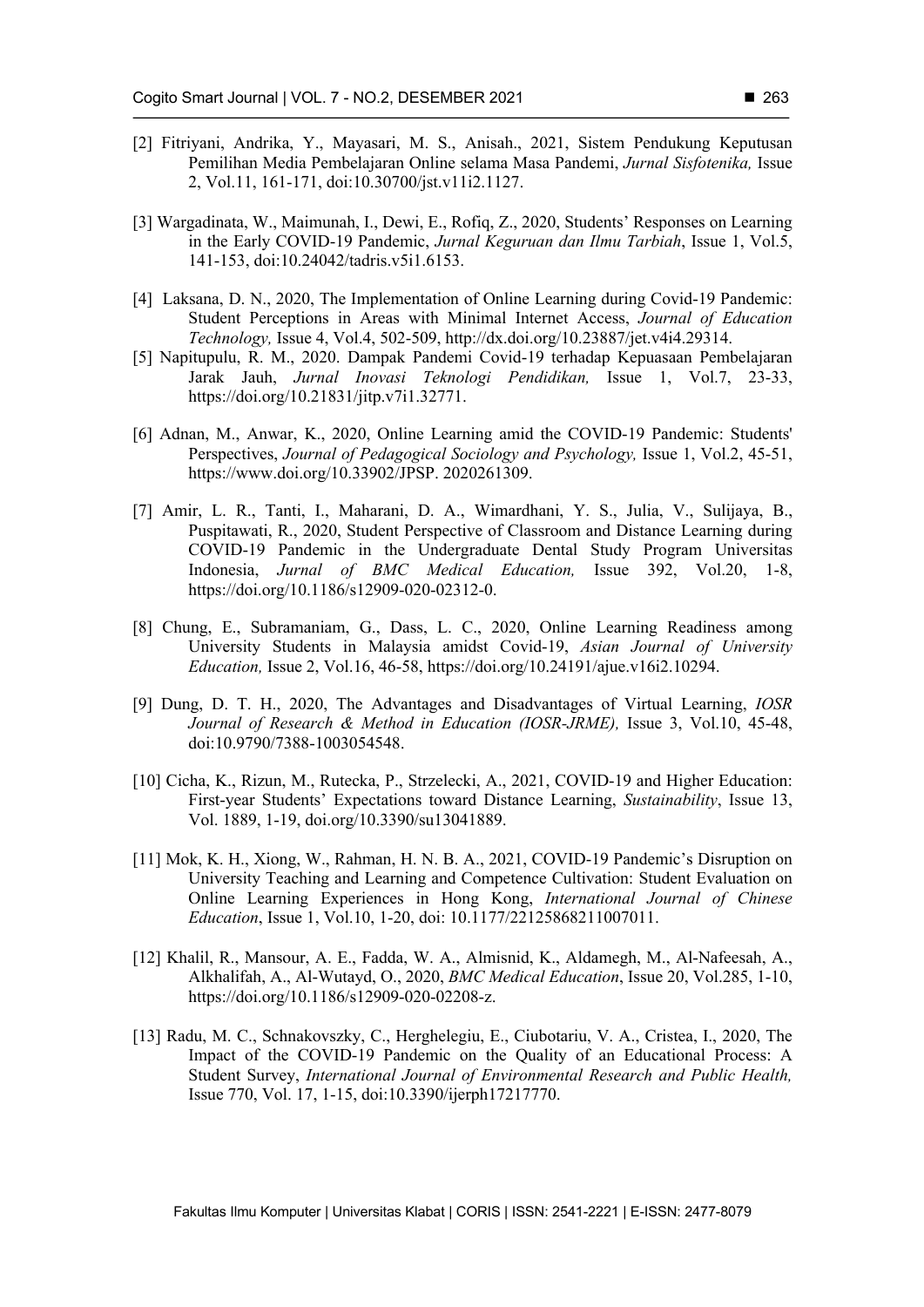- [2] Fitriyani, Andrika, Y., Mayasari, M. S., Anisah., 2021, Sistem Pendukung Keputusan Pemilihan Media Pembelajaran Online selama Masa Pandemi, *Jurnal Sisfotenika,* Issue 2, Vol.11, 161-171, doi:10.30700/jst.v11i2.1127.
- [3] Wargadinata, W., Maimunah, I., Dewi, E., Rofiq, Z., 2020, Students' Responses on Learning in the Early COVID-19 Pandemic, *Jurnal Keguruan dan Ilmu Tarbiah*, Issue 1, Vol.5, 141-153, doi:10.24042/tadris.v5i1.6153.
- [4] Laksana, D. N., 2020, The Implementation of Online Learning during Covid-19 Pandemic: Student Perceptions in Areas with Minimal Internet Access, *Journal of Education Technology,* Issue 4, Vol.4, 502-509, http://dx.doi.org/10.23887/jet.v4i4.29314.
- [5] Napitupulu, R. M., 2020. Dampak Pandemi Covid-19 terhadap Kepuasaan Pembelajaran Jarak Jauh, *Jurnal Inovasi Teknologi Pendidikan,* Issue 1, Vol.7, 23-33, https://doi.org/10.21831/jitp.v7i1.32771.
- [6] Adnan, M., Anwar, K., 2020, Online Learning amid the COVID-19 Pandemic: Students' Perspectives, *Journal of Pedagogical Sociology and Psychology,* Issue 1, Vol.2, 45-51, https://www.doi.org/10.33902/JPSP. 2020261309.
- [7] Amir, L. R., Tanti, I., Maharani, D. A., Wimardhani, Y. S., Julia, V., Sulijaya, B., Puspitawati, R., 2020, Student Perspective of Classroom and Distance Learning during COVID-19 Pandemic in the Undergraduate Dental Study Program Universitas Indonesia, *Jurnal of BMC Medical Education,* Issue 392, Vol.20, 1-8, https://doi.org/10.1186/s12909-020-02312-0.
- [8] Chung, E., Subramaniam, G., Dass, L. C., 2020, Online Learning Readiness among University Students in Malaysia amidst Covid-19, *Asian Journal of University Education,* Issue 2, Vol.16, 46-58, https://doi.org/10.24191/ajue.v16i2.10294.
- [9] Dung, D. T. H., 2020, The Advantages and Disadvantages of Virtual Learning, *IOSR Journal of Research & Method in Education (IOSR-JRME),* Issue 3, Vol.10, 45-48, doi:10.9790/7388-1003054548.
- [10] Cicha, K., Rizun, M., Rutecka, P., Strzelecki, A., 2021, COVID-19 and Higher Education: First-year Students' Expectations toward Distance Learning, *Sustainability*, Issue 13, Vol. 1889, 1-19, doi.org/10.3390/su13041889.
- [11] Mok, K. H., Xiong, W., Rahman, H. N. B. A., 2021, COVID-19 Pandemic's Disruption on University Teaching and Learning and Competence Cultivation: Student Evaluation on Online Learning Experiences in Hong Kong, *International Journal of Chinese Education*, Issue 1, Vol.10, 1-20, doi: 10.1177/22125868211007011.
- [12] Khalil, R., Mansour, A. E., Fadda, W. A., Almisnid, K., Aldamegh, M., Al-Nafeesah, A., Alkhalifah, A., Al-Wutayd, O., 2020, *BMC Medical Education*, Issue 20, Vol.285, 1-10, https://doi.org/10.1186/s12909-020-02208-z.
- [13] Radu, M. C., Schnakovszky, C., Herghelegiu, E., Ciubotariu, V. A., Cristea, I., 2020, The Impact of the COVID-19 Pandemic on the Quality of an Educational Process: A Student Survey, *International Journal of Environmental Research and Public Health,*  Issue 770, Vol. 17, 1-15, doi:10.3390/ijerph17217770.